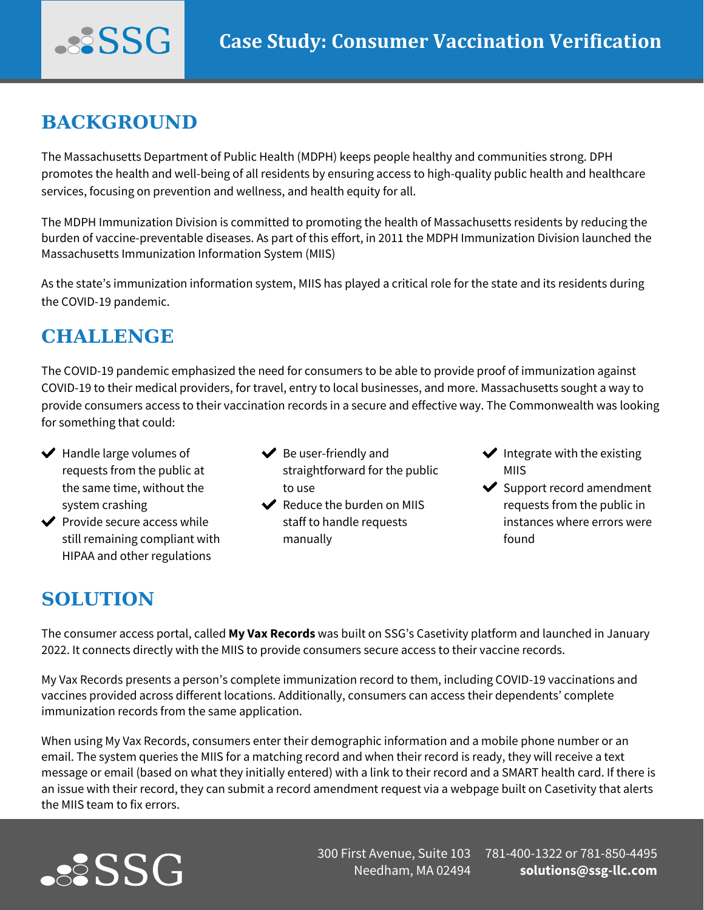## **BACKGROUND**

...SSG

The Massachusetts Department of Public Health (MDPH) keeps people healthy and communities strong. DPH promotes the health and well-being of all residents by ensuring access to high-quality public health and healthcare services, focusing on prevention and wellness, and health equity for all.

The MDPH Immunization Division is committed to promoting the health of Massachusetts residents by reducing the burden of vaccine-preventable diseases. As part of this effort, in 2011 the MDPH Immunization Division launched the Massachusetts Immunization Information System (MIIS)

As the state's immunization information system, MIIS has played a critical role for the state and its residents during the COVID-19 pandemic.

## **CHALLENGE**

The COVID-19 pandemic emphasized the need for consumers to be able to provide proof of immunization against COVID-19 to their medical providers, for travel, entry to local businesses, and more. Massachusetts sought a way to provide consumers access to their vaccination records in a secure and effective way. The Commonwealth was looking for something that could:

- $\blacktriangleright$  Handle large volumes of requests from the public at the same time, without the system crashing
- $\blacktriangleright$  Provide secure access while still remaining compliant with HIPAA and other regulations
- $\blacktriangleright$  Be user-friendly and straightforward for the public to use
- $\blacktriangleright$  Reduce the burden on MIIS staff to handle requests manually
- $\blacktriangleright$  Integrate with the existing MIIS
- $\blacktriangleright$  Support record amendment requests from the public in instances where errors were found

## **SOLUTION**

The consumer access portal, called **[My Vax Records](https://www.myvaxrecords.mass.gov/)** was built on SSG's Casetivity platform and launched in January 2022. It connects directly with the MIIS to provide consumers secure access to their vaccine records.

My Vax Records presents a person's complete immunization record to them, including COVID-19 vaccinations and vaccines provided across different locations. Additionally, consumers can access their dependents' complete immunization records from the same application.

When using My Vax Records, consumers enter their demographic information and a mobile phone number or an email. The system queries the MIIS for a matching record and when their record is ready, they will receive a text message or email (based on what they initially entered) with a link to their record and a SMART health card. If there is an issue with their record, they can submit a record amendment request via a webpage built on Casetivity that alerts the MIIS team to fix errors.



300 First Avenue, Suite 103 781-400-1322 or 781-850-4495 Needham, MA 02494

**[solutions@ssg-llc.com](mailto:solutions@ssg-llc.com)**